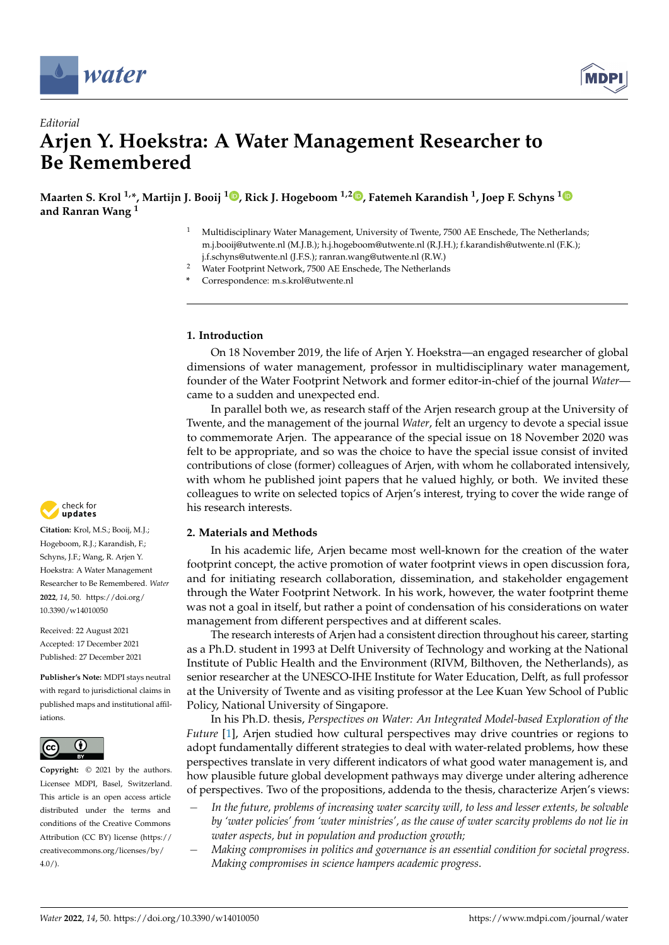



# *Editorial* **Arjen Y. Hoekstra: A Water Management Researcher to Be Remembered**

**Maarten S. Krol 1,\*, Martijn J. Booij <sup>1</sup> [,](https://orcid.org/0000-0001-6208-9045) Rick J. Hogeboom 1,2 [,](https://orcid.org/0000-0002-5077-4368) Fatemeh Karandish <sup>1</sup> , Joep F. Schyns [1](https://orcid.org/0000-0001-5058-353X) and Ranran Wang <sup>1</sup>**

- <sup>1</sup> Multidisciplinary Water Management, University of Twente, 7500 AE Enschede, The Netherlands; m.j.booij@utwente.nl (M.J.B.); h.j.hogeboom@utwente.nl (R.J.H.); f.karandish@utwente.nl (F.K.); j.f.schyns@utwente.nl (J.F.S.); ranran.wang@utwente.nl (R.W.)
- <sup>2</sup> Water Footprint Network, 7500 AE Enschede, The Netherlands
- **\*** Correspondence: m.s.krol@utwente.nl

## **1. Introduction**

On 18 November 2019, the life of Arjen Y. Hoekstra—an engaged researcher of global dimensions of water management, professor in multidisciplinary water management, founder of the Water Footprint Network and former editor-in-chief of the journal *Water* came to a sudden and unexpected end.

In parallel both we, as research staff of the Arjen research group at the University of Twente, and the management of the journal *Water*, felt an urgency to devote a special issue to commemorate Arjen. The appearance of the special issue on 18 November 2020 was felt to be appropriate, and so was the choice to have the special issue consist of invited contributions of close (former) colleagues of Arjen, with whom he collaborated intensively, with whom he published joint papers that he valued highly, or both. We invited these colleagues to write on selected topics of Arjen's interest, trying to cover the wide range of his research interests.

# **2. Materials and Methods**

In his academic life, Arjen became most well-known for the creation of the water footprint concept, the active promotion of water footprint views in open discussion fora, and for initiating research collaboration, dissemination, and stakeholder engagement through the Water Footprint Network. In his work, however, the water footprint theme was not a goal in itself, but rather a point of condensation of his considerations on water management from different perspectives and at different scales.

The research interests of Arjen had a consistent direction throughout his career, starting as a Ph.D. student in 1993 at Delft University of Technology and working at the National Institute of Public Health and the Environment (RIVM, Bilthoven, the Netherlands), as senior researcher at the UNESCO-IHE Institute for Water Education, Delft, as full professor at the University of Twente and as visiting professor at the Lee Kuan Yew School of Public Policy, National University of Singapore.

In his Ph.D. thesis, *Perspectives on Water: An Integrated Model-based Exploration of the Future* [\[1\]](#page-6-0), Arjen studied how cultural perspectives may drive countries or regions to adopt fundamentally different strategies to deal with water-related problems, how these perspectives translate in very different indicators of what good water management is, and how plausible future global development pathways may diverge under altering adherence of perspectives. Two of the propositions, addenda to the thesis, characterize Arjen's views:

- − *In the future, problems of increasing water scarcity will, to less and lesser extents, be solvable by 'water policies' from 'water ministries', as the cause of water scarcity problems do not lie in water aspects, but in population and production growth;*
- − *Making compromises in politics and governance is an essential condition for societal progress. Making compromises in science hampers academic progress*.



**Citation:** Krol, M.S.; Booij, M.J.; Hogeboom, R.J.; Karandish, F.; Schyns, J.F.; Wang, R. Arjen Y. Hoekstra: A Water Management Researcher to Be Remembered. *Water* **2022**, *14*, 50. [https://doi.org/](https://doi.org/10.3390/w14010050) [10.3390/w14010050](https://doi.org/10.3390/w14010050)

Received: 22 August 2021 Accepted: 17 December 2021 Published: 27 December 2021

**Publisher's Note:** MDPI stays neutral with regard to jurisdictional claims in published maps and institutional affiliations.



**Copyright:** © 2021 by the authors. Licensee MDPI, Basel, Switzerland. This article is an open access article distributed under the terms and conditions of the Creative Commons Attribution (CC BY) license [\(https://](https://creativecommons.org/licenses/by/4.0/) [creativecommons.org/licenses/by/](https://creativecommons.org/licenses/by/4.0/)  $4.0/$ ).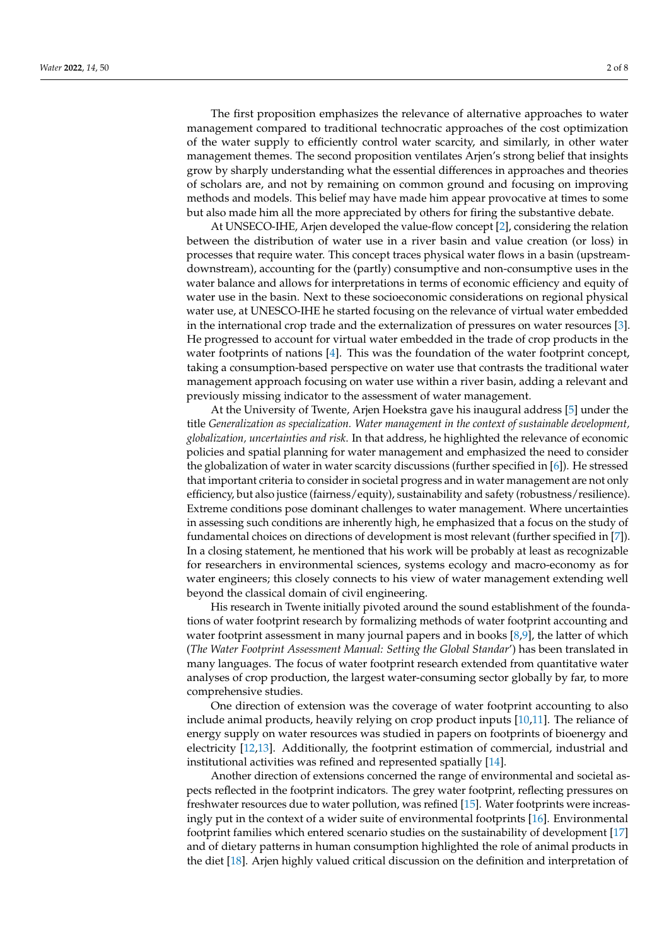The first proposition emphasizes the relevance of alternative approaches to water management compared to traditional technocratic approaches of the cost optimization of the water supply to efficiently control water scarcity, and similarly, in other water management themes. The second proposition ventilates Arjen's strong belief that insights grow by sharply understanding what the essential differences in approaches and theories of scholars are, and not by remaining on common ground and focusing on improving methods and models. This belief may have made him appear provocative at times to some but also made him all the more appreciated by others for firing the substantive debate.

At UNSECO-IHE, Arjen developed the value-flow concept [\[2\]](#page-6-1), considering the relation between the distribution of water use in a river basin and value creation (or loss) in processes that require water. This concept traces physical water flows in a basin (upstreamdownstream), accounting for the (partly) consumptive and non-consumptive uses in the water balance and allows for interpretations in terms of economic efficiency and equity of water use in the basin. Next to these socioeconomic considerations on regional physical water use, at UNESCO-IHE he started focusing on the relevance of virtual water embedded in the international crop trade and the externalization of pressures on water resources [\[3\]](#page-6-2). He progressed to account for virtual water embedded in the trade of crop products in the water footprints of nations [\[4\]](#page-6-3). This was the foundation of the water footprint concept, taking a consumption-based perspective on water use that contrasts the traditional water management approach focusing on water use within a river basin, adding a relevant and previously missing indicator to the assessment of water management.

At the University of Twente, Arjen Hoekstra gave his inaugural address [\[5\]](#page-6-4) under the title *Generalization as specialization. Water management in the context of sustainable development, globalization, uncertainties and risk*. In that address, he highlighted the relevance of economic policies and spatial planning for water management and emphasized the need to consider the globalization of water in water scarcity discussions (further specified in [\[6\]](#page-6-5)). He stressed that important criteria to consider in societal progress and in water management are not only efficiency, but also justice (fairness/equity), sustainability and safety (robustness/resilience). Extreme conditions pose dominant challenges to water management. Where uncertainties in assessing such conditions are inherently high, he emphasized that a focus on the study of fundamental choices on directions of development is most relevant (further specified in [\[7\]](#page-6-6)). In a closing statement, he mentioned that his work will be probably at least as recognizable for researchers in environmental sciences, systems ecology and macro-economy as for water engineers; this closely connects to his view of water management extending well beyond the classical domain of civil engineering.

His research in Twente initially pivoted around the sound establishment of the foundations of water footprint research by formalizing methods of water footprint accounting and water footprint assessment in many journal papers and in books [\[8](#page-6-7)[,9\]](#page-6-8), the latter of which (*The Water Footprint Assessment Manual: Setting the Global Standar*') has been translated in many languages. The focus of water footprint research extended from quantitative water analyses of crop production, the largest water-consuming sector globally by far, to more comprehensive studies.

One direction of extension was the coverage of water footprint accounting to also include animal products, heavily relying on crop product inputs [\[10,](#page-6-9)[11\]](#page-6-10). The reliance of energy supply on water resources was studied in papers on footprints of bioenergy and electricity [\[12](#page-6-11)[,13\]](#page-6-12). Additionally, the footprint estimation of commercial, industrial and institutional activities was refined and represented spatially [\[14\]](#page-6-13).

Another direction of extensions concerned the range of environmental and societal aspects reflected in the footprint indicators. The grey water footprint, reflecting pressures on freshwater resources due to water pollution, was refined [\[15\]](#page-6-14). Water footprints were increasingly put in the context of a wider suite of environmental footprints [\[16\]](#page-6-15). Environmental footprint families which entered scenario studies on the sustainability of development [\[17\]](#page-6-16) and of dietary patterns in human consumption highlighted the role of animal products in the diet [\[18\]](#page-6-17). Arjen highly valued critical discussion on the definition and interpretation of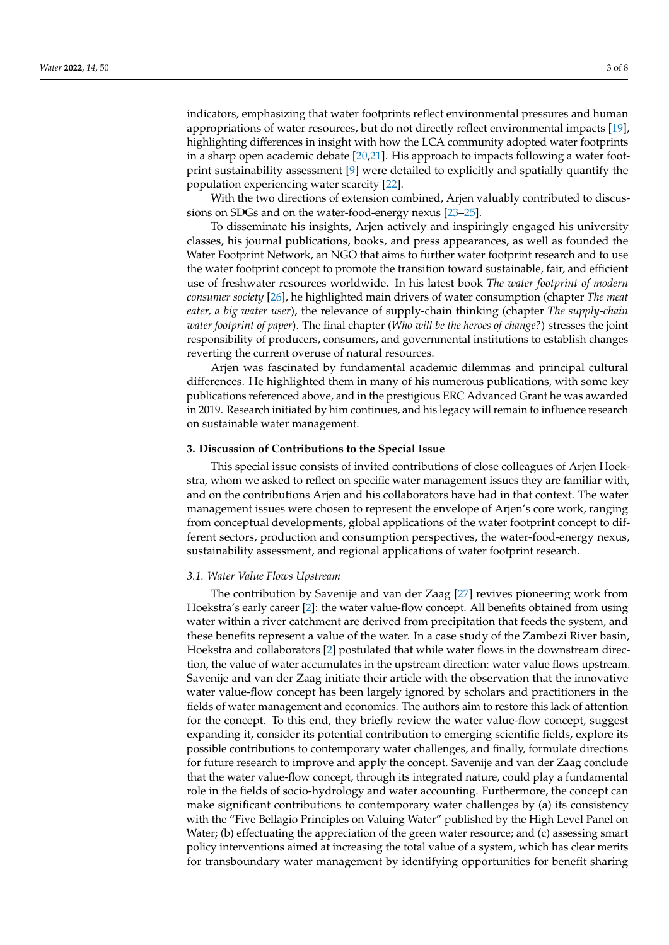indicators, emphasizing that water footprints reflect environmental pressures and human appropriations of water resources, but do not directly reflect environmental impacts [\[19\]](#page-6-18), highlighting differences in insight with how the LCA community adopted water footprints in a sharp open academic debate [\[20,](#page-6-19)[21\]](#page-6-20). His approach to impacts following a water footprint sustainability assessment [\[9\]](#page-6-8) were detailed to explicitly and spatially quantify the population experiencing water scarcity [\[22\]](#page-6-21).

With the two directions of extension combined, Arjen valuably contributed to discussions on SDGs and on the water-food-energy nexus [\[23](#page-6-22)[–25\]](#page-6-23).

To disseminate his insights, Arjen actively and inspiringly engaged his university classes, his journal publications, books, and press appearances, as well as founded the Water Footprint Network, an NGO that aims to further water footprint research and to use the water footprint concept to promote the transition toward sustainable, fair, and efficient use of freshwater resources worldwide. In his latest book *The water footprint of modern consumer society* [\[26\]](#page-6-24), he highlighted main drivers of water consumption (chapter *The meat eater, a big water user*), the relevance of supply-chain thinking (chapter *The supply-chain water footprint of paper*). The final chapter (*Who will be the heroes of change?*) stresses the joint responsibility of producers, consumers, and governmental institutions to establish changes reverting the current overuse of natural resources.

Arjen was fascinated by fundamental academic dilemmas and principal cultural differences. He highlighted them in many of his numerous publications, with some key publications referenced above, and in the prestigious ERC Advanced Grant he was awarded in 2019. Research initiated by him continues, and his legacy will remain to influence research on sustainable water management.

#### **3. Discussion of Contributions to the Special Issue**

This special issue consists of invited contributions of close colleagues of Arjen Hoekstra, whom we asked to reflect on specific water management issues they are familiar with, and on the contributions Arjen and his collaborators have had in that context. The water management issues were chosen to represent the envelope of Arjen's core work, ranging from conceptual developments, global applications of the water footprint concept to different sectors, production and consumption perspectives, the water-food-energy nexus, sustainability assessment, and regional applications of water footprint research.

#### *3.1. Water Value Flows Upstream*

The contribution by Savenije and van der Zaag [\[27\]](#page-6-25) revives pioneering work from Hoekstra's early career [\[2\]](#page-6-1): the water value-flow concept. All benefits obtained from using water within a river catchment are derived from precipitation that feeds the system, and these benefits represent a value of the water. In a case study of the Zambezi River basin, Hoekstra and collaborators [\[2\]](#page-6-1) postulated that while water flows in the downstream direction, the value of water accumulates in the upstream direction: water value flows upstream. Savenije and van der Zaag initiate their article with the observation that the innovative water value-flow concept has been largely ignored by scholars and practitioners in the fields of water management and economics. The authors aim to restore this lack of attention for the concept. To this end, they briefly review the water value-flow concept, suggest expanding it, consider its potential contribution to emerging scientific fields, explore its possible contributions to contemporary water challenges, and finally, formulate directions for future research to improve and apply the concept. Savenije and van der Zaag conclude that the water value-flow concept, through its integrated nature, could play a fundamental role in the fields of socio-hydrology and water accounting. Furthermore, the concept can make significant contributions to contemporary water challenges by (a) its consistency with the "Five Bellagio Principles on Valuing Water" published by the High Level Panel on Water; (b) effectuating the appreciation of the green water resource; and (c) assessing smart policy interventions aimed at increasing the total value of a system, which has clear merits for transboundary water management by identifying opportunities for benefit sharing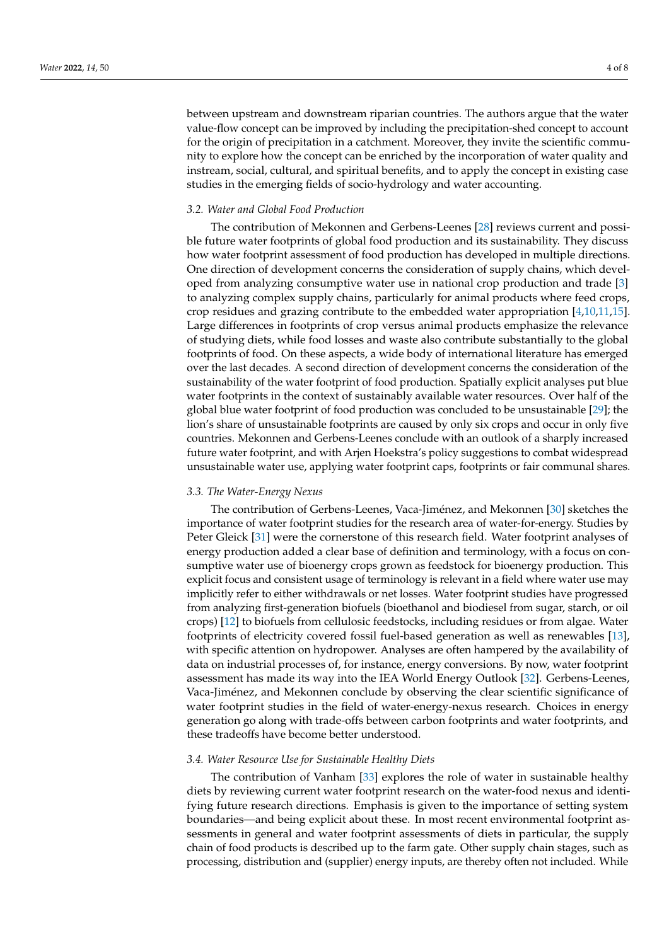between upstream and downstream riparian countries. The authors argue that the water value-flow concept can be improved by including the precipitation-shed concept to account for the origin of precipitation in a catchment. Moreover, they invite the scientific community to explore how the concept can be enriched by the incorporation of water quality and instream, social, cultural, and spiritual benefits, and to apply the concept in existing case studies in the emerging fields of socio-hydrology and water accounting.

#### *3.2. Water and Global Food Production*

The contribution of Mekonnen and Gerbens-Leenes [\[28\]](#page-6-26) reviews current and possible future water footprints of global food production and its sustainability. They discuss how water footprint assessment of food production has developed in multiple directions. One direction of development concerns the consideration of supply chains, which developed from analyzing consumptive water use in national crop production and trade [\[3\]](#page-6-2) to analyzing complex supply chains, particularly for animal products where feed crops, crop residues and grazing contribute to the embedded water appropriation [\[4,](#page-6-3)[10,](#page-6-9)[11,](#page-6-10)[15\]](#page-6-14). Large differences in footprints of crop versus animal products emphasize the relevance of studying diets, while food losses and waste also contribute substantially to the global footprints of food. On these aspects, a wide body of international literature has emerged over the last decades. A second direction of development concerns the consideration of the sustainability of the water footprint of food production. Spatially explicit analyses put blue water footprints in the context of sustainably available water resources. Over half of the global blue water footprint of food production was concluded to be unsustainable [\[29\]](#page-6-27); the lion's share of unsustainable footprints are caused by only six crops and occur in only five countries. Mekonnen and Gerbens-Leenes conclude with an outlook of a sharply increased future water footprint, and with Arjen Hoekstra's policy suggestions to combat widespread unsustainable water use, applying water footprint caps, footprints or fair communal shares.

#### *3.3. The Water-Energy Nexus*

The contribution of Gerbens-Leenes, Vaca-Jiménez, and Mekonnen [\[30\]](#page-6-28) sketches the importance of water footprint studies for the research area of water-for-energy. Studies by Peter Gleick [\[31\]](#page-6-29) were the cornerstone of this research field. Water footprint analyses of energy production added a clear base of definition and terminology, with a focus on consumptive water use of bioenergy crops grown as feedstock for bioenergy production. This explicit focus and consistent usage of terminology is relevant in a field where water use may implicitly refer to either withdrawals or net losses. Water footprint studies have progressed from analyzing first-generation biofuels (bioethanol and biodiesel from sugar, starch, or oil crops) [\[12\]](#page-6-11) to biofuels from cellulosic feedstocks, including residues or from algae. Water footprints of electricity covered fossil fuel-based generation as well as renewables [\[13\]](#page-6-12), with specific attention on hydropower. Analyses are often hampered by the availability of data on industrial processes of, for instance, energy conversions. By now, water footprint assessment has made its way into the IEA World Energy Outlook [\[32\]](#page-7-0). Gerbens-Leenes, Vaca-Jiménez, and Mekonnen conclude by observing the clear scientific significance of water footprint studies in the field of water-energy-nexus research. Choices in energy generation go along with trade-offs between carbon footprints and water footprints, and these tradeoffs have become better understood.

#### *3.4. Water Resource Use for Sustainable Healthy Diets*

The contribution of Vanham [\[33\]](#page-7-1) explores the role of water in sustainable healthy diets by reviewing current water footprint research on the water-food nexus and identifying future research directions. Emphasis is given to the importance of setting system boundaries—and being explicit about these. In most recent environmental footprint assessments in general and water footprint assessments of diets in particular, the supply chain of food products is described up to the farm gate. Other supply chain stages, such as processing, distribution and (supplier) energy inputs, are thereby often not included. While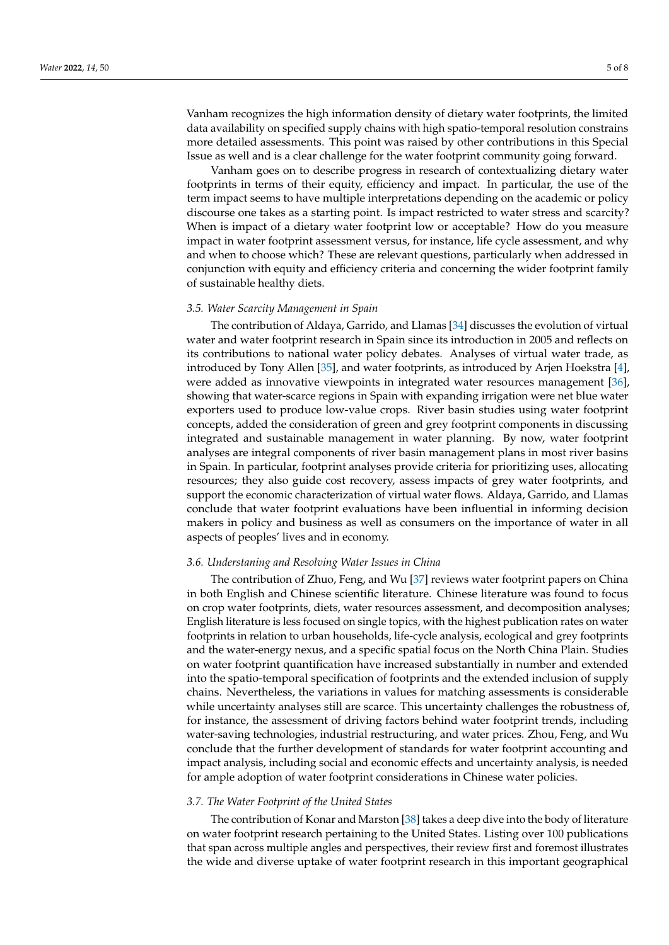Vanham recognizes the high information density of dietary water footprints, the limited data availability on specified supply chains with high spatio-temporal resolution constrains more detailed assessments. This point was raised by other contributions in this Special Issue as well and is a clear challenge for the water footprint community going forward.

Vanham goes on to describe progress in research of contextualizing dietary water footprints in terms of their equity, efficiency and impact. In particular, the use of the term impact seems to have multiple interpretations depending on the academic or policy discourse one takes as a starting point. Is impact restricted to water stress and scarcity? When is impact of a dietary water footprint low or acceptable? How do you measure impact in water footprint assessment versus, for instance, life cycle assessment, and why and when to choose which? These are relevant questions, particularly when addressed in conjunction with equity and efficiency criteria and concerning the wider footprint family of sustainable healthy diets.

#### *3.5. Water Scarcity Management in Spain*

The contribution of Aldaya, Garrido, and Llamas [\[34\]](#page-7-2) discusses the evolution of virtual water and water footprint research in Spain since its introduction in 2005 and reflects on its contributions to national water policy debates. Analyses of virtual water trade, as introduced by Tony Allen [\[35\]](#page-7-3), and water footprints, as introduced by Arjen Hoekstra [\[4\]](#page-6-3), were added as innovative viewpoints in integrated water resources management [\[36\]](#page-7-4), showing that water-scarce regions in Spain with expanding irrigation were net blue water exporters used to produce low-value crops. River basin studies using water footprint concepts, added the consideration of green and grey footprint components in discussing integrated and sustainable management in water planning. By now, water footprint analyses are integral components of river basin management plans in most river basins in Spain. In particular, footprint analyses provide criteria for prioritizing uses, allocating resources; they also guide cost recovery, assess impacts of grey water footprints, and support the economic characterization of virtual water flows. Aldaya, Garrido, and Llamas conclude that water footprint evaluations have been influential in informing decision makers in policy and business as well as consumers on the importance of water in all aspects of peoples' lives and in economy.

#### *3.6. Understaning and Resolving Water Issues in China*

The contribution of Zhuo, Feng, and Wu [\[37\]](#page-7-5) reviews water footprint papers on China in both English and Chinese scientific literature. Chinese literature was found to focus on crop water footprints, diets, water resources assessment, and decomposition analyses; English literature is less focused on single topics, with the highest publication rates on water footprints in relation to urban households, life-cycle analysis, ecological and grey footprints and the water-energy nexus, and a specific spatial focus on the North China Plain. Studies on water footprint quantification have increased substantially in number and extended into the spatio-temporal specification of footprints and the extended inclusion of supply chains. Nevertheless, the variations in values for matching assessments is considerable while uncertainty analyses still are scarce. This uncertainty challenges the robustness of, for instance, the assessment of driving factors behind water footprint trends, including water-saving technologies, industrial restructuring, and water prices. Zhou, Feng, and Wu conclude that the further development of standards for water footprint accounting and impact analysis, including social and economic effects and uncertainty analysis, is needed for ample adoption of water footprint considerations in Chinese water policies.

#### *3.7. The Water Footprint of the United States*

The contribution of Konar and Marston [\[38\]](#page-7-6) takes a deep dive into the body of literature on water footprint research pertaining to the United States. Listing over 100 publications that span across multiple angles and perspectives, their review first and foremost illustrates the wide and diverse uptake of water footprint research in this important geographical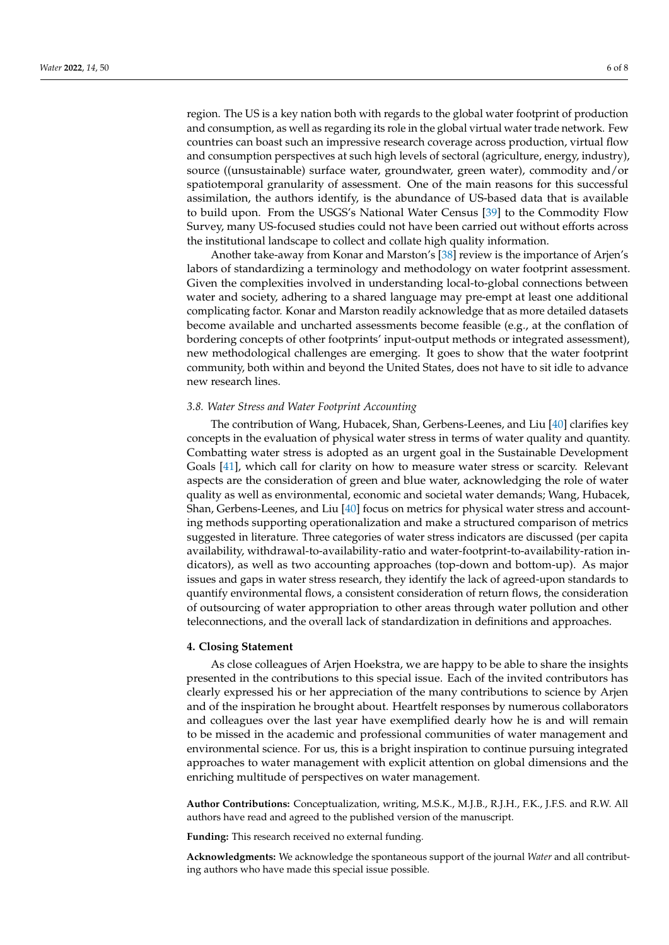region. The US is a key nation both with regards to the global water footprint of production and consumption, as well as regarding its role in the global virtual water trade network. Few countries can boast such an impressive research coverage across production, virtual flow and consumption perspectives at such high levels of sectoral (agriculture, energy, industry), source ((unsustainable) surface water, groundwater, green water), commodity and/or spatiotemporal granularity of assessment. One of the main reasons for this successful assimilation, the authors identify, is the abundance of US-based data that is available to build upon. From the USGS's National Water Census [\[39\]](#page-7-7) to the Commodity Flow Survey, many US-focused studies could not have been carried out without efforts across the institutional landscape to collect and collate high quality information.

Another take-away from Konar and Marston's [\[38\]](#page-7-6) review is the importance of Arjen's labors of standardizing a terminology and methodology on water footprint assessment. Given the complexities involved in understanding local-to-global connections between water and society, adhering to a shared language may pre-empt at least one additional complicating factor. Konar and Marston readily acknowledge that as more detailed datasets become available and uncharted assessments become feasible (e.g., at the conflation of bordering concepts of other footprints' input-output methods or integrated assessment), new methodological challenges are emerging. It goes to show that the water footprint community, both within and beyond the United States, does not have to sit idle to advance new research lines.

#### *3.8. Water Stress and Water Footprint Accounting*

The contribution of Wang, Hubacek, Shan, Gerbens-Leenes, and Liu [\[40\]](#page-7-8) clarifies key concepts in the evaluation of physical water stress in terms of water quality and quantity. Combatting water stress is adopted as an urgent goal in the Sustainable Development Goals [\[41\]](#page-7-9), which call for clarity on how to measure water stress or scarcity. Relevant aspects are the consideration of green and blue water, acknowledging the role of water quality as well as environmental, economic and societal water demands; Wang, Hubacek, Shan, Gerbens-Leenes, and Liu [\[40\]](#page-7-8) focus on metrics for physical water stress and accounting methods supporting operationalization and make a structured comparison of metrics suggested in literature. Three categories of water stress indicators are discussed (per capita availability, withdrawal-to-availability-ratio and water-footprint-to-availability-ration indicators), as well as two accounting approaches (top-down and bottom-up). As major issues and gaps in water stress research, they identify the lack of agreed-upon standards to quantify environmental flows, a consistent consideration of return flows, the consideration of outsourcing of water appropriation to other areas through water pollution and other teleconnections, and the overall lack of standardization in definitions and approaches.

#### **4. Closing Statement**

As close colleagues of Arjen Hoekstra, we are happy to be able to share the insights presented in the contributions to this special issue. Each of the invited contributors has clearly expressed his or her appreciation of the many contributions to science by Arjen and of the inspiration he brought about. Heartfelt responses by numerous collaborators and colleagues over the last year have exemplified dearly how he is and will remain to be missed in the academic and professional communities of water management and environmental science. For us, this is a bright inspiration to continue pursuing integrated approaches to water management with explicit attention on global dimensions and the enriching multitude of perspectives on water management.

**Author Contributions:** Conceptualization, writing, M.S.K., M.J.B., R.J.H., F.K., J.F.S. and R.W. All authors have read and agreed to the published version of the manuscript.

**Funding:** This research received no external funding.

**Acknowledgments:** We acknowledge the spontaneous support of the journal *Water* and all contributing authors who have made this special issue possible.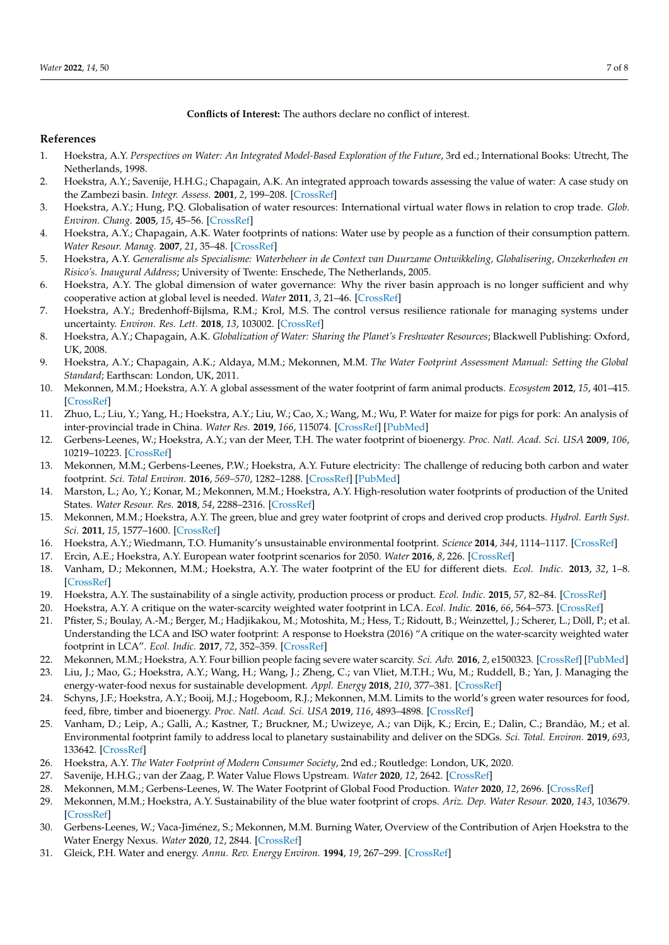### **Conflicts of Interest:** The authors declare no conflict of interest.

## **References**

- <span id="page-6-0"></span>1. Hoekstra, A.Y. *Perspectives on Water: An Integrated Model-Based Exploration of the Future*, 3rd ed.; International Books: Utrecht, The Netherlands, 1998.
- <span id="page-6-1"></span>2. Hoekstra, A.Y.; Savenije, H.H.G.; Chapagain, A.K. An integrated approach towards assessing the value of water: A case study on the Zambezi basin. *Integr. Assess.* **2001**, *2*, 199–208. [\[CrossRef\]](http://doi.org/10.1023/A:1013368524528)
- <span id="page-6-2"></span>3. Hoekstra, A.Y.; Hung, P.Q. Globalisation of water resources: International virtual water flows in relation to crop trade. *Glob. Environ. Chang.* **2005**, *15*, 45–56. [\[CrossRef\]](http://doi.org/10.1016/j.gloenvcha.2004.06.004)
- <span id="page-6-3"></span>4. Hoekstra, A.Y.; Chapagain, A.K. Water footprints of nations: Water use by people as a function of their consumption pattern. *Water Resour. Manag.* **2007**, *21*, 35–48. [\[CrossRef\]](http://doi.org/10.1007/s11269-006-9039-x)
- <span id="page-6-4"></span>5. Hoekstra, A.Y. *Generalisme als Specialisme: Waterbeheer in de Context van Duurzame Ontwikkeling, Globalisering, Onzekerheden en Risico's. Inaugural Address*; University of Twente: Enschede, The Netherlands, 2005.
- <span id="page-6-5"></span>6. Hoekstra, A.Y. The global dimension of water governance: Why the river basin approach is no longer sufficient and why cooperative action at global level is needed. *Water* **2011**, *3*, 21–46. [\[CrossRef\]](http://doi.org/10.3390/w3010021)
- <span id="page-6-6"></span>7. Hoekstra, A.Y.; Bredenhoff-Bijlsma, R.M.; Krol, M.S. The control versus resilience rationale for managing systems under uncertainty. *Environ. Res. Lett.* **2018**, *13*, 103002. [\[CrossRef\]](http://doi.org/10.1088/1748-9326/aadf95)
- <span id="page-6-7"></span>8. Hoekstra, A.Y.; Chapagain, A.K. *Globalization of Water: Sharing the Planet's Freshwater Resources*; Blackwell Publishing: Oxford, UK, 2008.
- <span id="page-6-8"></span>9. Hoekstra, A.Y.; Chapagain, A.K.; Aldaya, M.M.; Mekonnen, M.M. *The Water Footprint Assessment Manual: Setting the Global Standard*; Earthscan: London, UK, 2011.
- <span id="page-6-9"></span>10. Mekonnen, M.M.; Hoekstra, A.Y. A global assessment of the water footprint of farm animal products. *Ecosystem* **2012**, *15*, 401–415. [\[CrossRef\]](http://doi.org/10.1007/s10021-011-9517-8)
- <span id="page-6-10"></span>11. Zhuo, L.; Liu, Y.; Yang, H.; Hoekstra, A.Y.; Liu, W.; Cao, X.; Wang, M.; Wu, P. Water for maize for pigs for pork: An analysis of inter-provincial trade in China. *Water Res.* **2019**, *166*, 115074. [\[CrossRef\]](http://doi.org/10.1016/j.watres.2019.115074) [\[PubMed\]](http://www.ncbi.nlm.nih.gov/pubmed/31526977)
- <span id="page-6-11"></span>12. Gerbens-Leenes, W.; Hoekstra, A.Y.; van der Meer, T.H. The water footprint of bioenergy. *Proc. Natl. Acad. Sci. USA* **2009**, *106*, 10219–10223. [\[CrossRef\]](http://doi.org/10.1073/pnas.0812619106)
- <span id="page-6-12"></span>13. Mekonnen, M.M.; Gerbens-Leenes, P.W.; Hoekstra, A.Y. Future electricity: The challenge of reducing both carbon and water footprint. *Sci. Total Environ.* **2016**, *569–570*, 1282–1288. [\[CrossRef\]](http://doi.org/10.1016/j.scitotenv.2016.06.204) [\[PubMed\]](http://www.ncbi.nlm.nih.gov/pubmed/27387812)
- <span id="page-6-13"></span>14. Marston, L.; Ao, Y.; Konar, M.; Mekonnen, M.M.; Hoekstra, A.Y. High-resolution water footprints of production of the United States. *Water Resour. Res.* **2018**, *54*, 2288–2316. [\[CrossRef\]](http://doi.org/10.1002/2017WR021923)
- <span id="page-6-14"></span>15. Mekonnen, M.M.; Hoekstra, A.Y. The green, blue and grey water footprint of crops and derived crop products. *Hydrol. Earth Syst. Sci.* **2011**, *15*, 1577–1600. [\[CrossRef\]](http://doi.org/10.5194/hess-15-1577-2011)
- <span id="page-6-15"></span>16. Hoekstra, A.Y.; Wiedmann, T.O. Humanity's unsustainable environmental footprint. *Science* **2014**, *344*, 1114–1117. [\[CrossRef\]](http://doi.org/10.1126/science.1248365)
- <span id="page-6-16"></span>17. Ercin, A.E.; Hoekstra, A.Y. European water footprint scenarios for 2050. *Water* **2016**, *8*, 226. [\[CrossRef\]](http://doi.org/10.3390/w8060226)
- <span id="page-6-17"></span>18. Vanham, D.; Mekonnen, M.M.; Hoekstra, A.Y. The water footprint of the EU for different diets. *Ecol. Indic.* **2013**, *32*, 1–8. [\[CrossRef\]](http://doi.org/10.1016/j.ecolind.2013.02.020)
- <span id="page-6-18"></span>19. Hoekstra, A.Y. The sustainability of a single activity, production process or product. *Ecol. Indic.* **2015**, *57*, 82–84. [\[CrossRef\]](http://doi.org/10.1016/j.ecolind.2015.04.022)
- <span id="page-6-19"></span>20. Hoekstra, A.Y. A critique on the water-scarcity weighted water footprint in LCA. *Ecol. Indic.* **2016**, *66*, 564–573. [\[CrossRef\]](http://doi.org/10.1016/j.ecolind.2016.02.026)
- <span id="page-6-20"></span>21. Pfister, S.; Boulay, A.-M.; Berger, M.; Hadjikakou, M.; Motoshita, M.; Hess, T.; Ridoutt, B.; Weinzettel, J.; Scherer, L.; Döll, P.; et al. Understanding the LCA and ISO water footprint: A response to Hoekstra (2016) "A critique on the water-scarcity weighted water footprint in LCA". *Ecol. Indic.* **2017**, *72*, 352–359. [\[CrossRef\]](http://doi.org/10.1016/j.ecolind.2016.07.051)
- <span id="page-6-21"></span>22. Mekonnen, M.M.; Hoekstra, A.Y. Four billion people facing severe water scarcity. *Sci. Adv.* **2016**, *2*, e1500323. [\[CrossRef\]](http://doi.org/10.1126/sciadv.1500323) [\[PubMed\]](http://www.ncbi.nlm.nih.gov/pubmed/26933676)
- <span id="page-6-22"></span>23. Liu, J.; Mao, G.; Hoekstra, A.Y.; Wang, H.; Wang, J.; Zheng, C.; van Vliet, M.T.H.; Wu, M.; Ruddell, B.; Yan, J. Managing the energy-water-food nexus for sustainable development. *Appl. Energy* **2018**, *210*, 377–381. [\[CrossRef\]](http://doi.org/10.1016/j.apenergy.2017.10.064)
- 24. Schyns, J.F.; Hoekstra, A.Y.; Booij, M.J.; Hogeboom, R.J.; Mekonnen, M.M. Limits to the world's green water resources for food, feed, fibre, timber and bioenergy. *Proc. Natl. Acad. Sci. USA* **2019**, *116*, 4893–4898. [\[CrossRef\]](http://doi.org/10.1073/pnas.1817380116)
- <span id="page-6-23"></span>25. Vanham, D.; Leip, A.; Galli, A.; Kastner, T.; Bruckner, M.; Uwizeye, A.; van Dijk, K.; Ercin, E.; Dalin, C.; Brandão, M.; et al. Environmental footprint family to address local to planetary sustainability and deliver on the SDGs. *Sci. Total. Environ.* **2019**, *693*, 133642. [\[CrossRef\]](http://doi.org/10.1016/j.scitotenv.2019.133642)
- <span id="page-6-24"></span>26. Hoekstra, A.Y. *The Water Footprint of Modern Consumer Society*, 2nd ed.; Routledge: London, UK, 2020.
- <span id="page-6-25"></span>27. Savenije, H.H.G.; van der Zaag, P. Water Value Flows Upstream. *Water* **2020**, *12*, 2642. [\[CrossRef\]](http://doi.org/10.3390/w12092642)
- <span id="page-6-26"></span>28. Mekonnen, M.M.; Gerbens-Leenes, W. The Water Footprint of Global Food Production. *Water* **2020**, *12*, 2696. [\[CrossRef\]](http://doi.org/10.3390/w12102696)
- <span id="page-6-27"></span>29. Mekonnen, M.M.; Hoekstra, A.Y. Sustainability of the blue water footprint of crops. *Ariz. Dep. Water Resour.* **2020**, *143*, 103679. [\[CrossRef\]](http://doi.org/10.1016/j.advwatres.2020.103679)
- <span id="page-6-28"></span>30. Gerbens-Leenes, W.; Vaca-Jiménez, S.; Mekonnen, M.M. Burning Water, Overview of the Contribution of Arjen Hoekstra to the Water Energy Nexus. *Water* **2020**, *12*, 2844. [\[CrossRef\]](http://doi.org/10.3390/w12102844)
- <span id="page-6-29"></span>31. Gleick, P.H. Water and energy. *Annu. Rev. Energy Environ.* **1994**, *19*, 267–299. [\[CrossRef\]](http://doi.org/10.1146/annurev.eg.19.110194.001411)